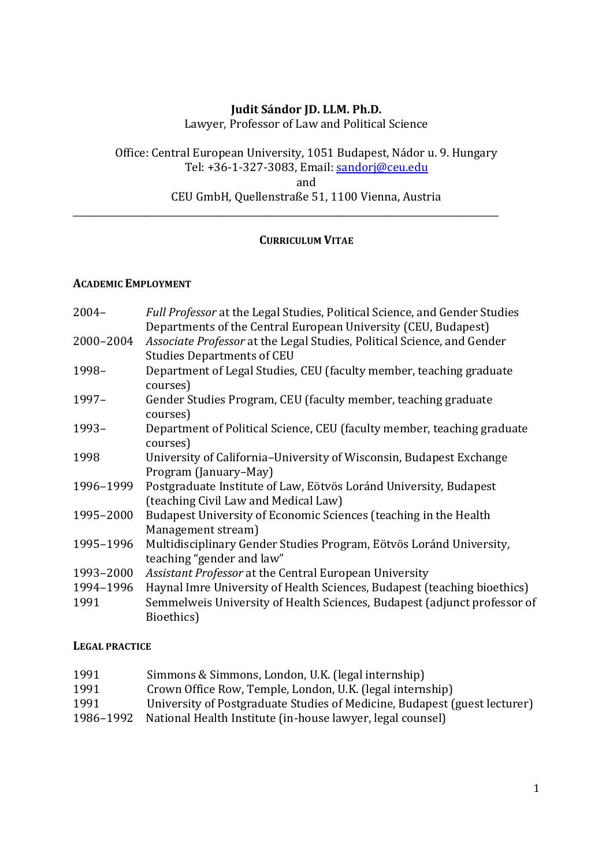### **Judit Sándor JD. LLM. Ph.D.**

Lawyer, Professor of Law and Political Science

Office: Central European University, 1051 Budapest, Nádor u. 9. Hungary Tel: +36-1-327-3083, Email: [sandorj@ceu.edu](mailto:sandorj@ceu.edu) and

CEU GmbH, Quellenstraße 51, 1100 Vienna, Austria

\_\_\_\_\_\_\_\_\_\_\_\_\_\_\_\_\_\_\_\_\_\_\_\_\_\_\_\_\_\_\_\_\_\_\_\_\_\_\_\_\_\_\_\_\_\_\_\_\_\_\_\_\_\_\_\_\_\_\_\_\_\_\_\_\_\_\_\_\_\_\_\_\_\_\_\_\_\_\_\_\_\_\_\_\_\_\_\_\_\_\_\_\_

## **CURRICULUM VITAE**

#### **ACADEMIC EMPLOYMENT**

| $2004 -$  | Full Professor at the Legal Studies, Political Science, and Gender Studies |
|-----------|----------------------------------------------------------------------------|
|           | Departments of the Central European University (CEU, Budapest)             |
| 2000-2004 | Associate Professor at the Legal Studies, Political Science, and Gender    |
|           | <b>Studies Departments of CEU</b>                                          |
| 1998-     | Department of Legal Studies, CEU (faculty member, teaching graduate        |
|           | courses)                                                                   |
| 1997-     | Gender Studies Program, CEU (faculty member, teaching graduate             |
|           | courses)                                                                   |
| 1993-     | Department of Political Science, CEU (faculty member, teaching graduate    |
|           | courses)                                                                   |
| 1998      | University of California-University of Wisconsin, Budapest Exchange        |
|           | Program (January–May)                                                      |
| 1996-1999 | Postgraduate Institute of Law, Eötvös Loránd University, Budapest          |
|           | (teaching Civil Law and Medical Law)                                       |
| 1995-2000 | Budapest University of Economic Sciences (teaching in the Health           |
|           | Management stream)                                                         |
| 1995-1996 | Multidisciplinary Gender Studies Program, Eötvös Loránd University,        |
|           | teaching "gender and law"                                                  |
| 1993-2000 | Assistant Professor at the Central European University                     |
| 1994-1996 | Haynal Imre University of Health Sciences, Budapest (teaching bioethics)   |
| 1991      | Semmelweis University of Health Sciences, Budapest (adjunct professor of   |
|           | Bioethics)                                                                 |

#### **LEGAL PRACTICE**

- 1991 Simmons & Simmons, London, U.K. (legal internship)
- 1991 Crown Office Row, Temple, London, U.K. (legal internship)
- 1991 University of Postgraduate Studies of Medicine, Budapest (guest lecturer)
- 1986–1992 National Health Institute (in-house lawyer, legal counsel)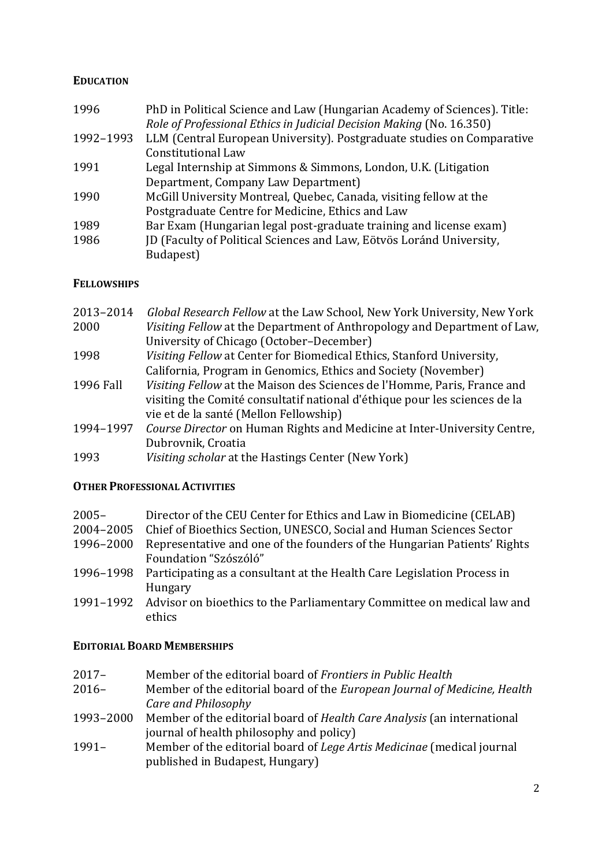### **EDUCATION**

| 1996      | PhD in Political Science and Law (Hungarian Academy of Sciences). Title: |
|-----------|--------------------------------------------------------------------------|
|           | Role of Professional Ethics in Judicial Decision Making (No. 16.350)     |
| 1992-1993 | LLM (Central European University). Postgraduate studies on Comparative   |
|           | <b>Constitutional Law</b>                                                |
| 1991      | Legal Internship at Simmons & Simmons, London, U.K. (Litigation          |
|           | Department, Company Law Department)                                      |
| 1990      | McGill University Montreal, Quebec, Canada, visiting fellow at the       |
|           | Postgraduate Centre for Medicine, Ethics and Law                         |
| 1989      | Bar Exam (Hungarian legal post-graduate training and license exam)       |
| 1986      | JD (Faculty of Political Sciences and Law, Eötvös Loránd University,     |
|           | Budapest)                                                                |

### **FELLOWSHIPS**

| 2013-2014 | Global Research Fellow at the Law School, New York University, New York    |
|-----------|----------------------------------------------------------------------------|
| 2000      | Visiting Fellow at the Department of Anthropology and Department of Law,   |
|           | University of Chicago (October-December)                                   |
| 1998      | Visiting Fellow at Center for Biomedical Ethics, Stanford University,      |
|           | California, Program in Genomics, Ethics and Society (November)             |
| 1996 Fall | Visiting Fellow at the Maison des Sciences de l'Homme, Paris, France and   |
|           | visiting the Comité consultatif national d'éthique pour les sciences de la |
|           | vie et de la santé (Mellon Fellowship)                                     |
| 1994-1997 | Course Director on Human Rights and Medicine at Inter-University Centre,   |
|           | Dubrovnik, Croatia                                                         |
| 1993      | Visiting scholar at the Hastings Center (New York)                         |
|           |                                                                            |

### **OTHER PROFESSIONAL ACTIVITIES**

| $2005 -$  | Director of the CEU Center for Ethics and Law in Biomedicine (CELAB)              |
|-----------|-----------------------------------------------------------------------------------|
|           | 2004–2005 Chief of Bioethics Section, UNESCO, Social and Human Sciences Sector    |
| 1996–2000 | Representative and one of the founders of the Hungarian Patients' Rights          |
|           | Foundation "Szószóló"                                                             |
|           | 1996–1998 Participating as a consultant at the Health Care Legislation Process in |
|           | Hungary                                                                           |
|           | 1991–1992 Advisor on bioethics to the Parliamentary Committee on medical law and  |
|           | ethics                                                                            |

### **EDITORIAL BOARD MEMBERSHIPS**

- 2017– Member of the editorial board of *Frontiers in Public Health*
- 2016– Member of the editorial board of the *European Journal of Medicine, Health Care and Philosophy*
- 1993–2000 Member of the editorial board of *Health Care Analysis* (an international journal of health philosophy and policy)
- 1991– Member of the editorial board of *Lege Artis Medicinae* (medical journal published in Budapest, Hungary)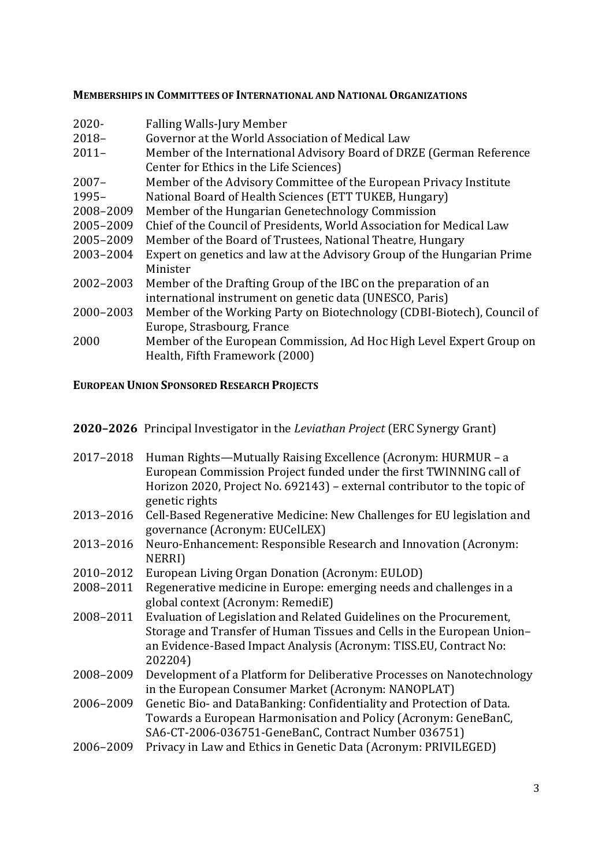#### **MEMBERSHIPS IN COMMITTEES OF INTERNATIONAL AND NATIONAL ORGANIZATIONS**

- 2020- Falling Walls-Jury Member
- 2018– Governor at the World Association of Medical Law
- 2011– Member of the International Advisory Board of DRZE (German Reference Center for Ethics in the Life Sciences)
- 2007– Member of the Advisory Committee of the European Privacy Institute
- 1995– National Board of Health Sciences (ETT TUKEB, Hungary)
- 2008–2009 Member of the Hungarian Genetechnology Commission
- 2005–2009 Chief of the Council of Presidents, World Association for Medical Law
- 2005–2009 Member of the Board of Trustees, National Theatre, Hungary
- 2003–2004 Expert on genetics and law at the Advisory Group of the Hungarian Prime Minister
- 2002–2003 Member of the Drafting Group of the IBC on the preparation of an international instrument on genetic data (UNESCO, Paris)
- 2000–2003 Member of the Working Party on Biotechnology (CDBI-Biotech), Council of Europe, Strasbourg, France
- 2000 Member of the European Commission, Ad Hoc High Level Expert Group on Health, Fifth Framework (2000)

#### **EUROPEAN UNION SPONSORED RESEARCH PROJECTS**

- **2020–2026** Principal Investigator in the *Leviathan Project* (ERC Synergy Grant)
- 2017–2018 Human Rights—Mutually Raising Excellence (Acronym: HURMUR a European Commission Project funded under the first TWINNING call of Horizon 2020, Project No. 692143) – external contributor to the topic of genetic rights
- 2013–2016 Cell-Based Regenerative Medicine: New Challenges for EU legislation and governance (Acronym: EUCelLEX)
- 2013–2016 Neuro-Enhancement: Responsible Research and Innovation (Acronym: **NERRII**
- 2010–2012 European Living Organ Donation (Acronym: EULOD)
- 2008–2011 Regenerative medicine in Europe: emerging needs and challenges in a global context (Acronym: RemediE)
- 2008–2011 Evaluation of Legislation and Related Guidelines on the Procurement, Storage and Transfer of Human Tissues and Cells in the European Union– an Evidence-Based Impact Analysis (Acronym: TISS.EU, Contract No: 202204)
- 2008–2009 Development of a Platform for Deliberative Processes on Nanotechnology in the European Consumer Market (Acronym: NANOPLAT)
- 2006–2009 Genetic Bio- and DataBanking: Confidentiality and Protection of Data. Towards a European Harmonisation and Policy (Acronym: GeneBanC, SA6-CT-2006-036751-GeneBanC, Contract Number 036751)
- 2006–2009 Privacy in Law and Ethics in Genetic Data (Acronym: PRIVILEGED)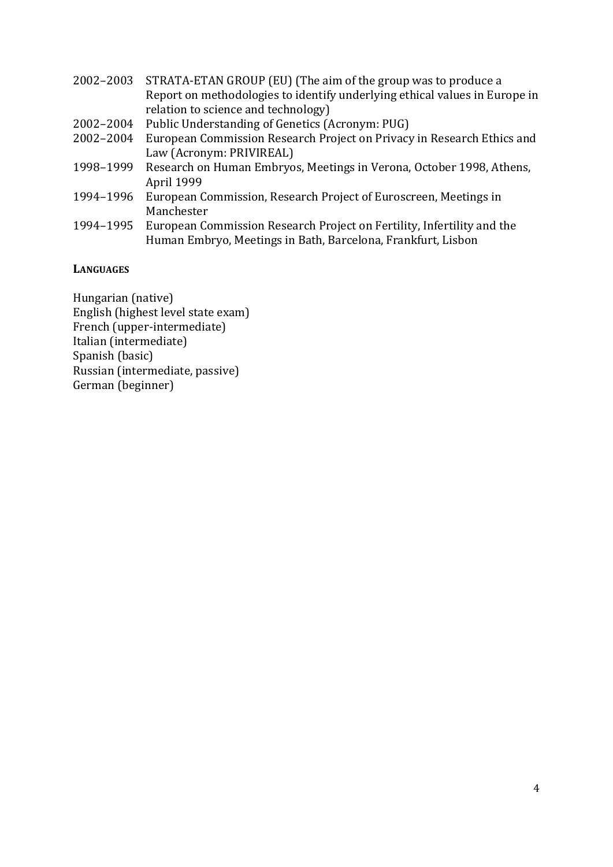- 2002–2003 STRATA-ETAN GROUP (EU) (The aim of the group was to produce a Report on methodologies to identify underlying ethical values in Europe in relation to science and technology)
- 2002–2004 Public Understanding of Genetics (Acronym: PUG)
- 2002–2004 European Commission Research Project on Privacy in Research Ethics and Law (Acronym: PRIVIREAL)
- 1998–1999 Research on Human Embryos, Meetings in Verona, October 1998, Athens, April 1999
- 1994–1996 European Commission, Research Project of Euroscreen, Meetings in Manchester
- 1994–1995 European Commission Research Project on Fertility, Infertility and the Human Embryo, Meetings in Bath, Barcelona, Frankfurt, Lisbon

**LANGUAGES**

Hungarian (native) English (highest level state exam) French (upper-intermediate) Italian (intermediate) Spanish (basic) Russian (intermediate, passive) German (beginner)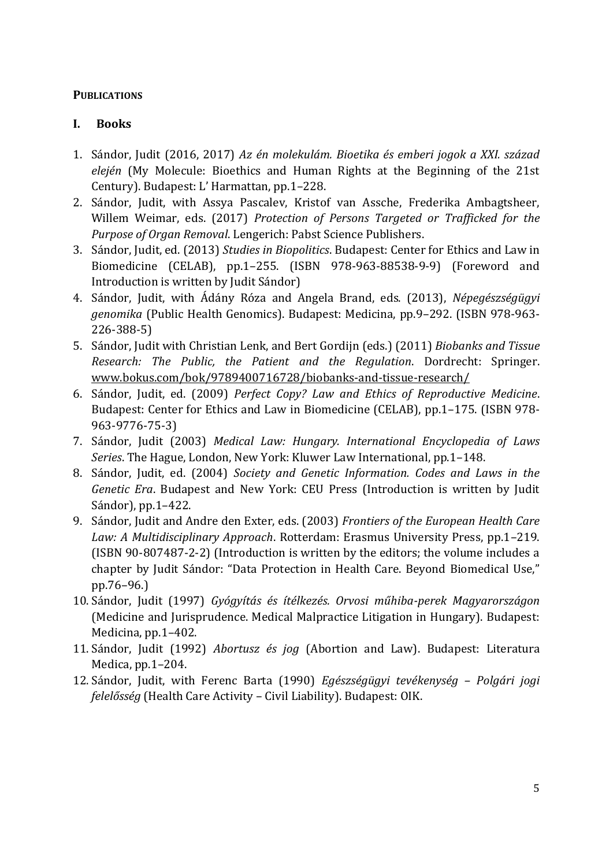### **PUBLICATIONS**

### **I. Books**

- 1. Sándor, Judit (2016, 2017) *Az én molekulám. Bioetika és emberi jogok a XXI. század elején* (My Molecule: Bioethics and Human Rights at the Beginning of the 21st Century). Budapest: L' Harmattan, pp.1–228.
- 2. Sándor, Judit, with Assya Pascalev, Kristof van Assche, Frederika Ambagtsheer, Willem Weimar, eds. (2017) *Protection of Persons Targeted or Trafficked for the Purpose of Organ Removal*. Lengerich: Pabst Science Publishers.
- 3. Sándor, Judit, ed. (2013) *Studies in Biopolitics*. Budapest: Center for Ethics and Law in Biomedicine (CELAB), pp.1–255. (ISBN 978-963-88538-9-9) (Foreword and Introduction is written by Judit Sándor)
- 4. Sándor, Judit, with Ádány Róza and Angela Brand, eds. (2013), *Népegészségügyi genomika* (Public Health Genomics). Budapest: Medicina, pp.9–292. (ISBN 978-963- 226-388-5)
- 5. Sándor, Judit with Christian Lenk, and Bert Gordijn (eds.) (2011) *Biobanks and Tissue Research: The Public, the Patient and the Regulation*. Dordrecht: Springer. [www.bokus.com/bok/9789400716728/biobanks-and-tissue-research/](http://www.bokus.com/bok/9789400716728/biobanks-and-tissue-research/)
- 6. Sándor, Judit, ed. (2009) *Perfect Copy? Law and Ethics of Reproductive Medicine*. Budapest: Center for Ethics and Law in Biomedicine (CELAB), pp.1–175. (ISBN 978- 963-9776-75-3)
- 7. Sándor, Judit (2003) *Medical Law: Hungary. International Encyclopedia of Laws Series*. The Hague, London, New York: Kluwer Law International, pp.1–148.
- 8. Sándor, Judit, ed. (2004) *Society and Genetic Information. Codes and Laws in the Genetic Era*. Budapest and New York: CEU Press (Introduction is written by Judit Sándor), pp.1–422.
- 9. Sándor, Judit and Andre den Exter, eds. (2003) *Frontiers of the European Health Care Law: A Multidisciplinary Approach*. Rotterdam: Erasmus University Press, pp.1–219. (ISBN 90-807487-2-2) (Introduction is written by the editors; the volume includes a chapter by Judit Sándor: "Data Protection in Health Care. Beyond Biomedical Use," pp.76–96.)
- 10. Sándor, Judit (1997) *Gyógyítás és ítélkezés. Orvosi műhiba-perek Magyarországon* (Medicine and Jurisprudence. Medical Malpractice Litigation in Hungary). Budapest: Medicina, pp.1–402.
- 11. Sándor, Judit (1992) *Abortusz és jog* (Abortion and Law). Budapest: Literatura Medica, pp.1–204.
- 12. Sándor, Judit, with Ferenc Barta (1990) *Egészségügyi tevékenység – Polgári jogi felelősség* (Health Care Activity – Civil Liability). Budapest: OIK.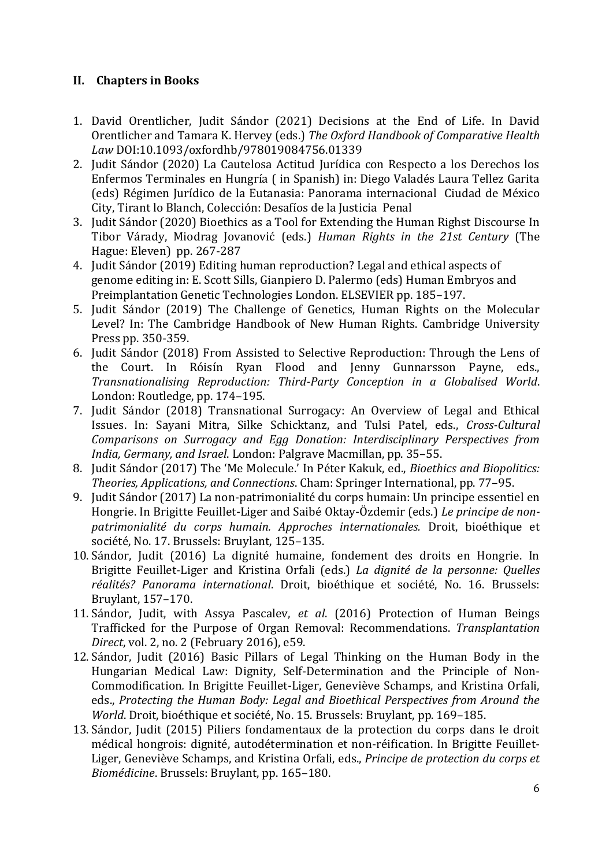## **II. Chapters in Books**

- 1. David Orentlicher, Judit Sándor (2021) Decisions at the End of Life. In David Orentlicher and Tamara K. Hervey (eds.) *The Oxford Handbook of Comparative Health Law* DOI:10.1093/oxfordhb/978019084756.01339
- 2. Judit Sándor (2020) La Cautelosa Actitud Jurídica con Respecto a los Derechos los Enfermos Terminales en Hungría ( in Spanish) in: Diego Valadés Laura Tellez Garita (eds) Régimen Jurídico de la Eutanasia: Panorama internacional Ciudad de México City, Tirant lo Blanch, Colección: Desafíos de la Justicia Penal
- 3. Judit Sándor (2020) Bioethics as a Tool for Extending the Human Righst Discourse In Tibor Várady, Miodrag Jovanović (eds.) *Human Rights in the 21st Century* (The Hague: Eleven) pp. 267-287
- 4. Judit Sándor (2019) Editing human reproduction? Legal and ethical aspects of genome editing in: E. Scott Sills, Gianpiero D. Palermo (eds) Human Embryos and Preimplantation Genetic Technologies London. ELSEVIER pp. 185–197.
- 5. Judit Sándor (2019) The Challenge of Genetics, Human Rights on the Molecular Level? In: The Cambridge Handbook of New Human Rights. Cambridge University Press pp. 350-359.
- 6. Judit Sándor (2018) From Assisted to Selective Reproduction: Through the Lens of the Court. In Róisín Ryan Flood and Jenny Gunnarsson Payne, eds., *Transnationalising Reproduction: Third-Party Conception in a Globalised World*. London: Routledge, pp. 174–195.
- 7. Judit Sándor (2018) Transnational Surrogacy: An Overview of Legal and Ethical Issues. In: Sayani Mitra, Silke Schicktanz, and Tulsi Patel, eds., *Cross-Cultural Comparisons on Surrogacy and Egg Donation: Interdisciplinary Perspectives from India, Germany, and Israel*. London: Palgrave Macmillan, pp. 35–55.
- 8. Judit Sándor (2017) The 'Me Molecule.' In Péter Kakuk, ed., *Bioethics and Biopolitics: Theories, Applications, and Connections*. Cham: Springer International, pp. 77–95.
- 9. Judit Sándor (2017) La non-patrimonialité du corps humain: Un principe essentiel en Hongrie. In Brigitte Feuillet-Liger and Saibé Oktay-Özdemir (eds.) *Le principe de nonpatrimonialité du corps humain. Approches internationales.* Droit, bioéthique et société, No. 17. Brussels: Bruylant, 125–135.
- 10. Sándor, Judit (2016) La dignité humaine, fondement des droits en Hongrie. In Brigitte Feuillet-Liger and Kristina Orfali (eds.) *La dignité de la personne: Quelles réalités? Panorama international*. Droit, bioéthique et société, No. 16. Brussels: Bruylant, 157–170.
- 11. Sándor, Judit, with Assya Pascalev, *et al*. (2016) Protection of Human Beings Trafficked for the Purpose of Organ Removal: Recommendations. *Transplantation Direct*, vol. 2, no. 2 (February 2016), e59.
- 12. Sándor, Judit (2016) Basic Pillars of Legal Thinking on the Human Body in the Hungarian Medical Law: Dignity, Self-Determination and the Principle of Non-Commodification*.* In Brigitte Feuillet-Liger, Geneviève Schamps, and Kristina Orfali, eds., *Protecting the Human Body: Legal and Bioethical Perspectives from Around the World*. Droit, bioéthique et société, No. 15. Brussels: Bruylant, pp. 169–185.
- 13. Sándor, Judit (2015) Piliers fondamentaux de la protection du corps dans le droit médical hongrois: dignité, autodétermination et non-réification. In Brigitte Feuillet-Liger, Geneviève Schamps, and Kristina Orfali, eds., *Principe de protection du corps et Biomédicine*. Brussels: Bruylant, pp. 165–180.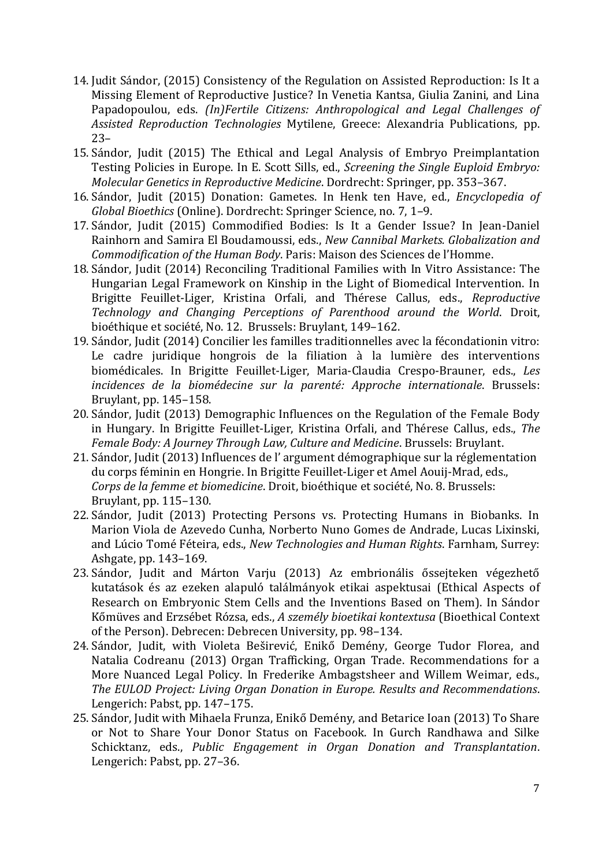- 14. Judit Sándor, (2015) Consistency of the Regulation on Assisted Reproduction: Is It a Missing Element of Reproductive Justice? In Venetia Kantsa, Giulia Zanini, and Lina Papadopoulou, eds. *(In)Fertile Citizens: Anthropological and Legal Challenges of Assisted Reproduction Technologies* Mytilene, Greece: Alexandria Publications, pp. 23–
- 15. Sándor, Judit (2015) The Ethical and Legal Analysis of Embryo Preimplantation Testing Policies in Europe. In E. Scott Sills, ed., *Screening the Single Euploid Embryo: Molecular Genetics in Reproductive Medicine*. Dordrecht: Springer, pp. 353–367.
- 16. Sándor, Judit (2015) Donation: Gametes. In Henk ten Have, ed., *Encyclopedia of Global Bioethics* (Online). Dordrecht: Springer Science, no. 7, 1–9.
- 17. Sándor, Judit (2015) Commodified Bodies: Is It a Gender Issue? In Jean-Daniel Rainhorn and Samira El Boudamoussi, eds., *New Cannibal Markets. Globalization and Commodification of the Human Body*. Paris: Maison des Sciences de l'Homme.
- 18. Sándor, Judit (2014) Reconciling Traditional Families with In Vitro Assistance: The Hungarian Legal Framework on Kinship in the Light of Biomedical Intervention. In Brigitte Feuillet-Liger, Kristina Orfali, and Thérese Callus, eds., *Reproductive Technology and Changing Perceptions of Parenthood around the World*. Droit, bioéthique et société, No. 12. Brussels: Bruylant, 149–162.
- 19. Sándor, Judit (2014) Concilier les familles traditionnelles avec la fécondationin vitro: Le cadre juridique hongrois de la filiation à la lumière des interventions biomédicales. In Brigitte Feuillet-Liger, Maria-Claudia Crespo-Brauner, eds., *Les incidences de la biomédecine sur la parenté: Approche internationale*. Brussels: Bruylant, pp. 145–158.
- 20. Sándor, Judit (2013) Demographic Influences on the Regulation of the Female Body in Hungary. In Brigitte Feuillet-Liger, Kristina Orfali, and Thérese Callus, eds., *The Female Body: A Journey Through Law, Culture and Medicine*. Brussels: Bruylant.
- 21. Sándor, Judit (2013) Influences de l' argument démographique sur la réglementation du corps féminin en Hongrie. In Brigitte Feuillet-Liger et Amel Aouij-Mrad, eds., *Corps de la femme et biomedicine*. Droit, bioéthique et société, No. 8. Brussels: Bruylant, pp. 115–130.
- 22. Sándor, Judit (2013) Protecting Persons vs. Protecting Humans in Biobanks. In Marion Viola de Azevedo Cunha, Norberto Nuno Gomes de Andrade, Lucas Lixinski, and Lúcio Tomé Féteira, eds., *New Technologies and Human Rights*. Farnham, Surrey: Ashgate, pp. 143–169.
- 23. Sándor, Judit and Márton Varju (2013) Az embrionális őssejteken végezhető kutatások és az ezeken alapuló találmányok etikai aspektusai (Ethical Aspects of Research on Embryonic Stem Cells and the Inventions Based on Them). In Sándor Kőmüves and Erzsébet Rózsa, eds., *A személy bioetikai kontextusa* (Bioethical Context of the Person). Debrecen: Debrecen University, pp. 98–134.
- 24. Sándor, Judit, with Violeta Beširević, Enikő Demény, George Tudor Florea, and Natalia Codreanu (2013) Organ Trafficking, Organ Trade. Recommendations for a More Nuanced Legal Policy. In Frederike Ambagstsheer and Willem Weimar, eds., *The EULOD Project: Living Organ Donation in Europe. Results and Recommendations*. Lengerich: Pabst, pp. 147–175.
- 25. Sándor, Judit with Mihaela Frunza, Enikő Demény, and Betarice Ioan (2013) To Share or Not to Share Your Donor Status on Facebook. In Gurch Randhawa and Silke Schicktanz, eds., *Public Engagement in Organ Donation and Transplantation*. Lengerich: Pabst, pp. 27–36.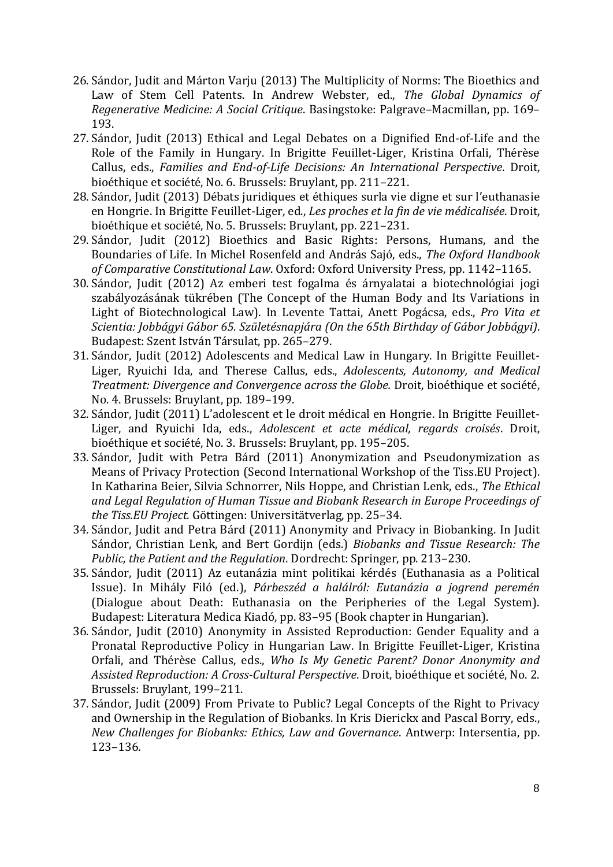- 26. Sándor, Judit and Márton Varju (2013) The Multiplicity of Norms: The Bioethics and Law of Stem Cell Patents. In Andrew Webster, ed., *The Global Dynamics of Regenerative Medicine: A Social Critique*. Basingstoke: Palgrave–Macmillan, pp. 169– 193.
- 27. Sándor, Judit (2013) Ethical and Legal Debates on a Dignified End-of-Life and the Role of the Family in Hungary. In Brigitte Feuillet-Liger, Kristina Orfali, Thérèse Callus, eds., *Families and End-of-Life Decisions: An International Perspective*. Droit, bioéthique et société, No. 6. Brussels: Bruylant, pp. 211–221.
- 28. Sándor, Judit (2013) Débats juridiques et éthiques surla vie digne et sur l'euthanasie en Hongrie. In Brigitte Feuillet-Liger, ed., *Les proches et la fin de vie médicalisée*. Droit, bioéthique et société, No. 5. Brussels: Bruylant, pp. 221–231.
- 29. Sándor, Judit (2012) Bioethics and Basic Rights: Persons, Humans, and the Boundaries of Life. In Michel Rosenfeld and András Sajó, eds., *The Oxford Handbook of Comparative Constitutional Law*. Oxford: Oxford University Press, pp. 1142–1165.
- 30. Sándor, Judit (2012) Az emberi test fogalma és árnyalatai a biotechnológiai jogi szabályozásának tükrében (The Concept of the Human Body and Its Variations in Light of Biotechnological Law). In Levente Tattai, Anett Pogácsa, eds., *Pro Vita et Scientia: Jobbágyi Gábor 65. Születésnapjára (On the 65th Birthday of Gábor Jobbágyi)*. Budapest: Szent István Társulat, pp. 265–279.
- 31. Sándor, Judit (2012) Adolescents and Medical Law in Hungary. In Brigitte Feuillet-Liger, Ryuichi Ida, and Therese Callus, eds., *Adolescents, Autonomy, and Medical Treatment: Divergence and Convergence across the Globe.* Droit, bioéthique et société, No. 4. Brussels: Bruylant, pp. 189–199.
- 32. Sándor, Judit (2011) L'adolescent et le droit médical en Hongrie. In Brigitte Feuillet-Liger, and Ryuichi Ida, eds., *Adolescent et acte médical, regards croisés*. Droit, bioéthique et société, No. 3. Brussels: Bruylant, pp. 195–205.
- 33. Sándor, Judit with Petra Bárd (2011) Anonymization and Pseudonymization as Means of Privacy Protection (Second International Workshop of the Tiss.EU Project). In Katharina Beier, Silvia Schnorrer, Nils Hoppe, and Christian Lenk, eds., *The Ethical and Legal Regulation of Human Tissue and Biobank Research in Europe Proceedings of the Tiss.EU Project.* Göttingen: Universitätverlag, pp. 25–34.
- 34. Sándor, Judit and Petra Bárd (2011) Anonymity and Privacy in Biobanking. In Judit Sándor, Christian Lenk, and Bert Gordijn (eds.) *Biobanks and Tissue Research: The Public, the Patient and the Regulation*. Dordrecht: Springer, pp. 213–230.
- 35. Sándor, Judit (2011) Az eutanázia mint politikai kérdés (Euthanasia as a Political Issue). In Mihály Filó (ed.), *Párbeszéd a halálról: Eutanázia a jogrend peremén* (Dialogue about Death: Euthanasia on the Peripheries of the Legal System). Budapest: Literatura Medica Kiadó, pp. 83–95 (Book chapter in Hungarian).
- 36. Sándor, Judit (2010) Anonymity in Assisted Reproduction: Gender Equality and a Pronatal Reproductive Policy in Hungarian Law. In Brigitte Feuillet-Liger, Kristina Orfali, and Thérèse Callus, eds., *Who Is My Genetic Parent? Donor Anonymity and Assisted Reproduction: A Cross-Cultural Perspective*. Droit, bioéthique et société, No. 2. Brussels: Bruylant, 199–211.
- 37. Sándor, Judit (2009) From Private to Public? Legal Concepts of the Right to Privacy and Ownership in the Regulation of Biobanks. In Kris Dierickx and Pascal Borry, eds., *New Challenges for Biobanks: Ethics, Law and Governance*. Antwerp: Intersentia, pp. 123–136.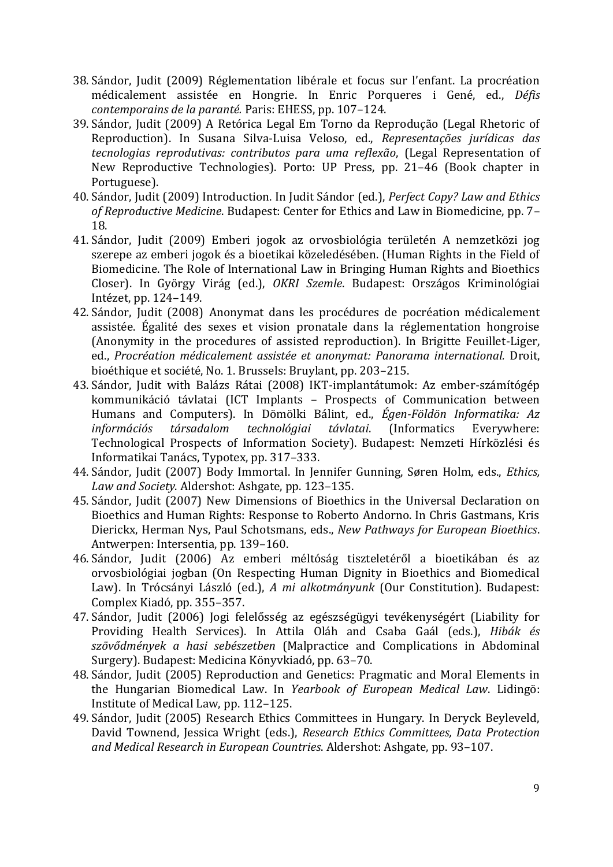- 38. Sándor, Judit (2009) Réglementation libérale et focus sur l'enfant. La procréation médicalement assistée en Hongrie. In Enric Porqueres i Gené, ed., *Défis contemporains de la paranté.* Paris: EHESS, pp. 107–124.
- 39. Sándor, Judit (2009) A Retórica Legal Em Torno da Reprodução (Legal Rhetoric of Reproduction). In Susana Silva-Luisa Veloso, ed., *Representações jurídicas das tecnologias reprodutivas: contributos para uma reflexão*, (Legal Representation of New Reproductive Technologies). Porto: UP Press, pp. 21–46 (Book chapter in Portuguese).
- 40. Sándor, Judit (2009) Introduction. In Judit Sándor (ed.), *Perfect Copy? Law and Ethics of Reproductive Medicine*. Budapest: Center for Ethics and Law in Biomedicine, pp. 7– 18.
- 41. Sándor, Judit (2009) Emberi jogok az orvosbiológia területén A nemzetközi jog szerepe az emberi jogok és a bioetikai közeledésében. (Human Rights in the Field of Biomedicine. The Role of International Law in Bringing Human Rights and Bioethics Closer). In György Virág (ed.), *OKRI Szemle*. Budapest: Országos Kriminológiai Intézet, pp. 124–149.
- 42. Sándor, Judit (2008) Anonymat dans les procédures de pocréation médicalement assistée. Égalité des sexes et vision pronatale dans la réglementation hongroise (Anonymity in the procedures of assisted reproduction). In Brigitte Feuillet-Liger, ed., *Procréation médicalement assistée et anonymat: Panorama international.* Droit, bioéthique et société, No. 1. Brussels: Bruylant, pp. 203–215.
- 43. Sándor, Judit with Balázs Rátai (2008) IKT-implantátumok: Az ember-számítógép kommunikáció távlatai (ICT Implants – Prospects of Communication between Humans and Computers). In Dömölki Bálint, ed., *Égen-Földön Informatika: Az információs társadalom technológiai távlatai*. (Informatics Everywhere: Technological Prospects of Information Society). Budapest: Nemzeti Hírközlési és Informatikai Tanács, Typotex, pp. 317–333.
- 44. Sándor, Judit (2007) Body Immortal. In Jennifer Gunning, Søren Holm, eds., *Ethics, Law and Society*. Aldershot: Ashgate, pp. 123–135.
- 45. Sándor, Judit (2007) New Dimensions of Bioethics in the Universal Declaration on Bioethics and Human Rights: Response to Roberto Andorno. In Chris Gastmans, Kris Dierickx, Herman Nys, Paul Schotsmans, eds., *New Pathways for European Bioethics*. Antwerpen: Intersentia, pp. 139–160.
- 46. Sándor, Judit (2006) Az emberi méltóság tiszteletéről a bioetikában és az orvosbiológiai jogban (On Respecting Human Dignity in Bioethics and Biomedical Law). In Trócsányi László (ed.), *A mi alkotmányunk* (Our Constitution). Budapest: Complex Kiadó, pp. 355–357.
- 47. Sándor, Judit (2006) Jogi felelősség az egészségügyi tevékenységért (Liability for Providing Health Services). In Attila Oláh and Csaba Gaál (eds.), *Hibák és szövődmények a hasi sebészetben* (Malpractice and Complications in Abdominal Surgery). Budapest: Medicina Könyvkiadó, pp. 63–70.
- 48. Sándor, Judit (2005) Reproduction and Genetics: Pragmatic and Moral Elements in the Hungarian Biomedical Law. In *Yearbook of European Medical Law*. Lidingö: Institute of Medical Law, pp. 112–125.
- 49. Sándor, Judit (2005) Research Ethics Committees in Hungary. In Deryck Beyleveld, David Townend, Jessica Wright (eds.), *Research Ethics Committees, Data Protection and Medical Research in European Countries*. Aldershot: Ashgate, pp. 93–107.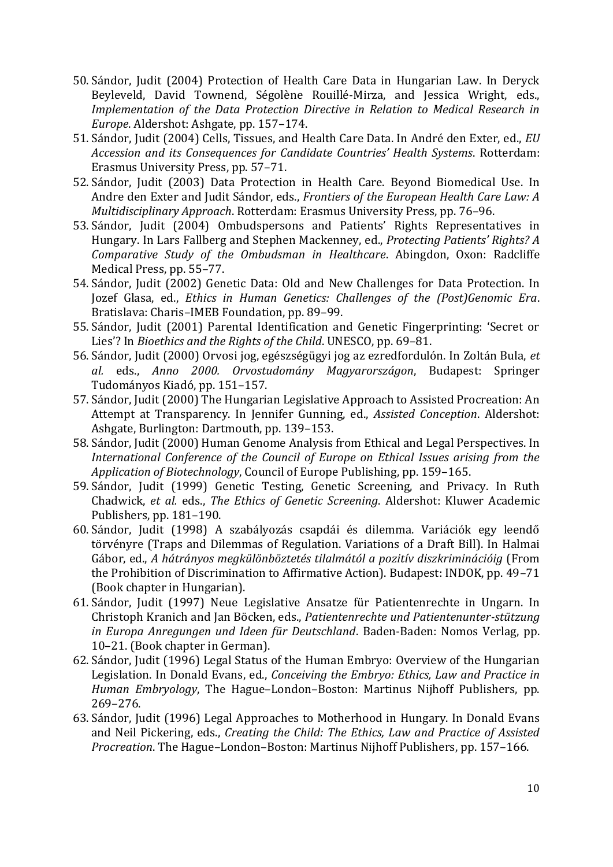- 50. Sándor, Judit (2004) Protection of Health Care Data in Hungarian Law. In Deryck Beyleveld, David Townend, Ségolène Rouillé-Mirza, and Jessica Wright, eds., *Implementation of the Data Protection Directive in Relation to Medical Research in Europe*. Aldershot: Ashgate, pp. 157–174.
- 51. Sándor, Judit (2004) Cells, Tissues, and Health Care Data. In André den Exter, ed., *EU Accession and its Consequences for Candidate Countries' Health Systems*. Rotterdam: Erasmus University Press, pp. 57–71.
- 52. Sándor, Judit (2003) Data Protection in Health Care. Beyond Biomedical Use. In Andre den Exter and Judit Sándor, eds., *Frontiers of the European Health Care Law: A Multidisciplinary Approach*. Rotterdam: Erasmus University Press, pp. 76–96.
- 53. Sándor, Judit (2004) Ombudspersons and Patients' Rights Representatives in Hungary. In Lars Fallberg and Stephen Mackenney, ed., *Protecting Patients' Rights? A Comparative Study of the Ombudsman in Healthcare*. Abingdon, Oxon: Radcliffe Medical Press, pp. 55–77.
- 54. Sándor, Judit (2002) Genetic Data: Old and New Challenges for Data Protection. In Jozef Glasa, ed., *Ethics in Human Genetics: Challenges of the (Post)Genomic Era*. Bratislava: Charis–IMEB Foundation, pp. 89–99.
- 55. Sándor, Judit (2001) Parental Identification and Genetic Fingerprinting: 'Secret or Lies'? In *Bioethics and the Rights of the Child*. UNESCO, pp. 69–81.
- 56. Sándor, Judit (2000) Orvosi jog, egészségügyi jog az ezredfordulón. In Zoltán Bula, *et al.* eds., *Anno 2000. Orvostudomány Magyarországon*, Budapest: Springer Tudományos Kiadó, pp. 151–157.
- 57. Sándor, Judit (2000) The Hungarian Legislative Approach to Assisted Procreation: An Attempt at Transparency. In Jennifer Gunning, ed., *Assisted Conception*. Aldershot: Ashgate, Burlington: Dartmouth, pp. 139–153.
- 58. Sándor, Judit (2000) Human Genome Analysis from Ethical and Legal Perspectives. In *International Conference of the Council of Europe on Ethical Issues arising from the Application of Biotechnology*, Council of Europe Publishing, pp. 159–165.
- 59. Sándor, Judit (1999) Genetic Testing, Genetic Screening, and Privacy. In Ruth Chadwick, *et al.* eds., *The Ethics of Genetic Screening*. Aldershot: Kluwer Academic Publishers, pp. 181–190.
- 60. Sándor, Judit (1998) A szabályozás csapdái és dilemma. Variációk egy leendő törvényre (Traps and Dilemmas of Regulation. Variations of a Draft Bill). In Halmai Gábor, ed., *A hátrányos megkülönböztetés tilalmától a pozitív diszkriminációig* (From the Prohibition of Discrimination to Affirmative Action). Budapest: INDOK, pp. 49–71 (Book chapter in Hungarian).
- 61. Sándor, Judit (1997) Neue Legislative Ansatze für Patientenrechte in Ungarn. In Christoph Kranich and Jan Böcken, eds., *Patientenrechte und Patientenunter-stützung in Europa Anregungen und Ideen für Deutschland*. Baden-Baden: Nomos Verlag, pp. 10–21. (Book chapter in German).
- 62. Sándor, Judit (1996) Legal Status of the Human Embryo: Overview of the Hungarian Legislation. In Donald Evans, ed., *Conceiving the Embryo: Ethics, Law and Practice in Human Embryology*, The Hague–London–Boston: Martinus Nijhoff Publishers, pp. 269–276.
- 63. Sándor, Judit (1996) Legal Approaches to Motherhood in Hungary. In Donald Evans and Neil Pickering, eds., *Creating the Child: The Ethics, Law and Practice of Assisted Procreation*. The Hague–London–Boston: Martinus Nijhoff Publishers, pp. 157–166.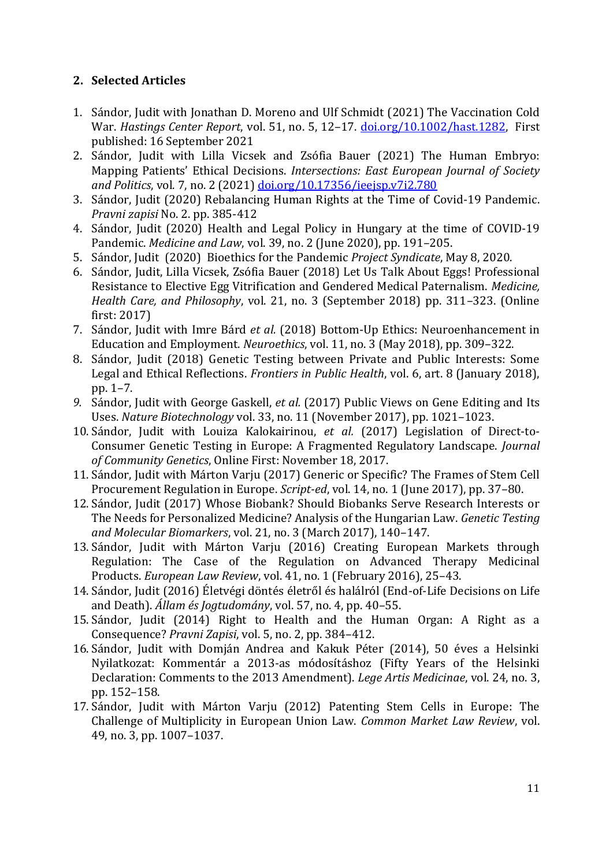# **2. Selected Articles**

- 1. Sándor, Judit with Jonathan D. Moreno and Ulf Schmidt (2021) The Vaccination Cold War. *Hastings Center Report*, vol. 51, no. 5, 12–17. [doi.org/10.1002/hast.1282,](https://doi.org/10.1002/hast.1282) First published: 16 September 2021
- 2. Sándor, Judit with Lilla Vicsek and Zsófia Bauer (2021) The Human Embryo: Mapping Patients' Ethical Decisions. *Intersections: East European Journal of Society and Politics*, vol. 7, no. 2 (2021) [doi.org/10.17356/ieejsp.v7i2.780](https://doi.org/10.17356/ieejsp.v7i2.780)
- 3. Sándor, Judit (2020) Rebalancing Human Rights at the Time of Covid-19 Pandemic. *Pravni zapisi* No. 2. pp. 385-412
- 4. Sándor, Judit (2020) Health and Legal Policy in Hungary at the time of COVID-19 Pandemic. *Medicine and Law*, vol. 39, no. 2 (June 2020), pp. 191–205.
- 5. Sándor, Judit (2020) Bioethics for the Pandemic *Project Syndicate*, May 8, 2020.
- 6. Sándor, Judit, Lilla Vicsek, Zsófia Bauer (2018) Let Us Talk About Eggs! Professional Resistance to Elective Egg Vitrification and Gendered Medical Paternalism. *Medicine, Health Care, and Philosophy*, vol. 21, no. 3 (September 2018) pp. 311–323. (Online first: 2017)
- 7. Sándor, Judit with Imre Bárd *et al.* (2018) Bottom-Up Ethics: Neuroenhancement in Education and Employment. *Neuroethics*, vol. 11, no. 3 (May 2018), pp. 309–322.
- 8. Sándor, Judit (2018) Genetic Testing between Private and Public Interests: Some Legal and Ethical Reflections. *Frontiers in Public Health*, vol. 6, art. 8 (January 2018), pp. 1–7.
- *9.* Sándor, Judit with George Gaskell, *et al.* (2017) Public Views on Gene Editing and Its Uses. *Nature Biotechnology* vol. 33, no. 11 (November 2017), pp. 1021–1023.
- 10. Sándor, Judit with Louiza Kalokairinou, *et al.* (2017) Legislation of Direct-to-Consumer Genetic Testing in Europe: A Fragmented Regulatory Landscape. *Journal of Community Genetics*, Online First: November 18, 2017.
- 11. Sándor, Judit with Márton Varju (2017) Generic or Specific? The Frames of Stem Cell Procurement Regulation in Europe. *Script-ed*, vol. 14, no. 1 (June 2017), pp. 37–80.
- 12. Sándor, Judit (2017) Whose Biobank? Should Biobanks Serve Research Interests or The Needs for Personalized Medicine? Analysis of the Hungarian Law. *Genetic Testing and Molecular Biomarkers*, vol. 21, no. 3 (March 2017), 140–147.
- 13. Sándor, Judit with Márton Varju (2016) Creating European Markets through Regulation: The Case of the Regulation on Advanced Therapy Medicinal Products. *European Law Review*, vol. 41, no. 1 (February 2016), 25–43.
- 14. Sándor, Judit (2016) Életvégi döntés életről és halálról (End-of-Life Decisions on Life and Death). *Állam és Jogtudomány*, vol. 57, no. 4, pp. 40–55.
- 15. Sándor, Judit (2014) Right to Health and the Human Organ: A Right as a Consequence? *Pravni Zapisi*, vol. 5, no. 2, pp. 384–412.
- 16. Sándor, Judit with Domján Andrea and Kakuk Péter (2014), 50 éves a Helsinki Nyilatkozat: Kommentár a 2013-as módosításhoz (Fifty Years of the Helsinki Declaration: Comments to the 2013 Amendment). *Lege Artis Medicinae*, vol. 24, no. 3, pp. 152–158.
- 17. Sándor, Judit with Márton Varju (2012) Patenting Stem Cells in Europe: The Challenge of Multiplicity in European Union Law. *Common Market Law Review*, vol. 49, no. 3, pp. 1007–1037.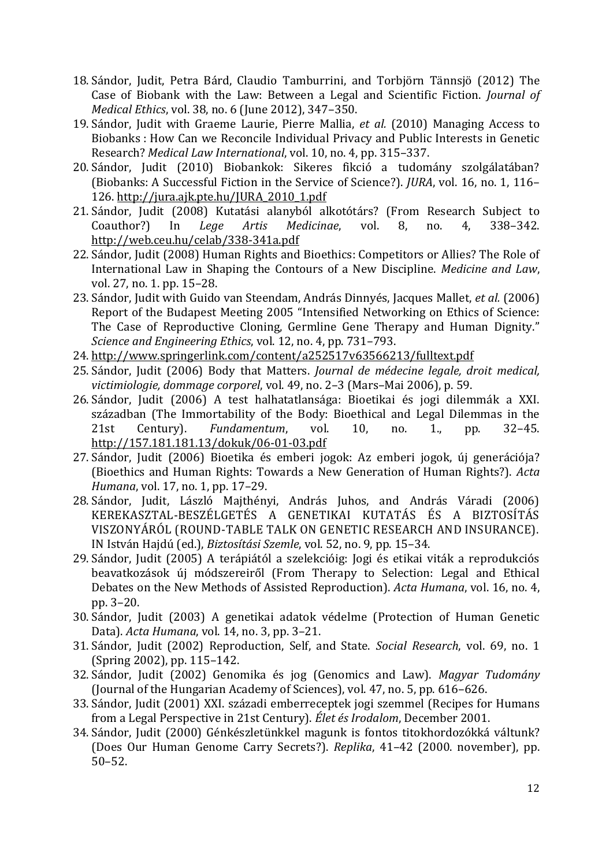- 18. Sándor, Judit, Petra Bárd, Claudio Tamburrini, and Torbjörn Tännsjö (2012) The Case of Biobank with the Law: Between a Legal and Scientific Fiction. *Journal of Medical Ethics*, vol. 38, no. 6 (June 2012), 347–350.
- 19. Sándor, Judit with Graeme Laurie, Pierre Mallia, *et al.* (2010) Managing Access to Biobanks : How Can we Reconcile Individual Privacy and Public Interests in Genetic Research? *Medical Law International*, vol. 10, no. 4, pp. 315–337.
- 20. Sándor, Judit (2010) Biobankok: Sikeres fikció a tudomány szolgálatában? (Biobanks: A Successful Fiction in the Service of Science?). *JURA*, vol. 16, no. 1, 116– 126. [http://jura.ajk.pte.hu/JURA\\_2010\\_1.pdf](http://jura.ajk.pte.hu/JURA_2010_1.pdf)
- 21. Sándor, Judit (2008) Kutatási alanyból alkotótárs? (From Research Subject to Coauthor?) In *Lege Artis Medicinae*, vol. 8, no. 4, 338–342. <http://web.ceu.hu/celab/338-341a.pdf>
- 22. Sándor, Judit (2008) Human Rights and Bioethics: Competitors or Allies? The Role of International Law in Shaping the Contours of a New Discipline. *Medicine and Law*, vol. 27, no. 1. pp. 15–28.
- 23. Sándor, Judit with Guido van Steendam, András Dinnyés, Jacques Mallet, *et al.* (2006) Report of the Budapest Meeting 2005 "Intensified Networking on Ethics of Science: The Case of Reproductive Cloning, Germline Gene Therapy and Human Dignity." *Science and Engineering Ethics*, vol. 12, no. 4, pp. 731–793.
- 24. <http://www.springerlink.com/content/a252517v63566213/fulltext.pdf>
- 25. Sándor, Judit (2006) Body that Matters. *Journal de médecine legale, droit medical, victimiologie, dommage corporel*, vol. 49, no. 2–3 (Mars–Mai 2006), p. 59.
- 26. Sándor, Judit (2006) A test halhatatlansága: Bioetikai és jogi dilemmák a XXI. században (The Immortability of the Body: Bioethical and Legal Dilemmas in the 21st Century). *Fundamentum*, vol. 10, no. 1., pp. 32–45. <http://157.181.181.13/dokuk/06-01-03.pdf>
- 27. Sándor, Judit (2006) Bioetika és emberi jogok: Az emberi jogok, új generációja? (Bioethics and Human Rights: Towards a New Generation of Human Rights?). *Acta Humana*, vol. 17, no. 1, pp. 17–29.
- 28. Sándor, Judit, László Majthényi, András Juhos, and András Váradi (2006) KEREKASZTAL-BESZÉLGETÉS A GENETIKAI KUTATÁS ÉS A BIZTOSÍTÁS VISZONYÁRÓL (ROUND-TABLE TALK ON GENETIC RESEARCH AND INSURANCE). IN István Hajdú (ed.), *Biztosítási Szemle*, vol. 52, no. 9, pp. 15–34.
- 29. Sándor, Judit (2005) A terápiától a szelekcióig: Jogi és etikai viták a reprodukciós beavatkozások új módszereiről (From Therapy to Selection: Legal and Ethical Debates on the New Methods of Assisted Reproduction). *Acta Humana*, vol. 16, no. 4, pp. 3–20.
- 30. Sándor, Judit (2003) A genetikai adatok védelme (Protection of Human Genetic Data). *Acta Humana*, vol. 14, no. 3, pp. 3–21.
- 31. Sándor, Judit (2002) Reproduction, Self, and State. *Social Research*, vol. 69, no. 1 (Spring 2002), pp. 115–142.
- 32. Sándor, Judit (2002) Genomika és jog (Genomics and Law). *Magyar Tudomány* (Journal of the Hungarian Academy of Sciences), vol. 47, no. 5, pp. 616–626.
- 33. Sándor, Judit (2001) XXI. századi emberreceptek jogi szemmel (Recipes for Humans from a Legal Perspective in 21st Century). *Élet és Irodalom*, December 2001.
- 34. Sándor, Judit (2000) Génkészletünkkel magunk is fontos titokhordozókká váltunk? (Does Our Human Genome Carry Secrets?). *Replika*, 41–42 (2000. november), pp. 50–52.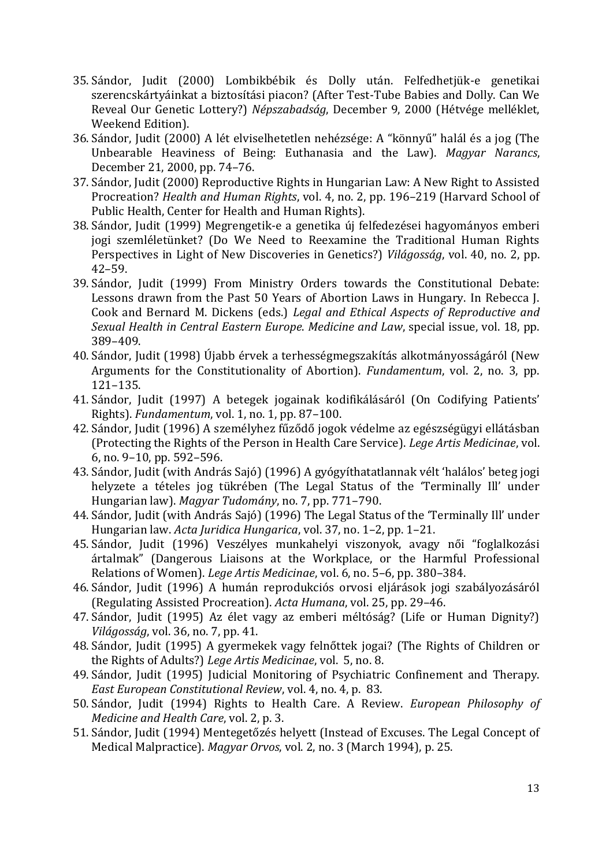- 35. Sándor, Judit (2000) Lombikbébik és Dolly után. Felfedhetjük-e genetikai szerencskártyáinkat a biztosítási piacon? (After Test-Tube Babies and Dolly. Can We Reveal Our Genetic Lottery?) *Népszabadság*, December 9, 2000 (Hétvége melléklet, Weekend Edition).
- 36. Sándor, Judit (2000) A lét elviselhetetlen nehézsége: A "könnyű" halál és a jog (The Unbearable Heaviness of Being: Euthanasia and the Law). *Magyar Narancs*, December 21, 2000, pp. 74–76.
- 37. Sándor, Judit (2000) Reproductive Rights in Hungarian Law: A New Right to Assisted Procreation? *Health and Human Rights*, vol. 4, no. 2, pp. 196–219 (Harvard School of Public Health, Center for Health and Human Rights).
- 38. Sándor, Judit (1999) Megrengetik-e a genetika új felfedezései hagyományos emberi jogi szemléletünket? (Do We Need to Reexamine the Traditional Human Rights Perspectives in Light of New Discoveries in Genetics?) *Világosság*, vol. 40, no. 2, pp. 42–59.
- 39. Sándor, Judit (1999) From Ministry Orders towards the Constitutional Debate: Lessons drawn from the Past 50 Years of Abortion Laws in Hungary. In Rebecca J. Cook and Bernard M. Dickens (eds.) *Legal and Ethical Aspects of Reproductive and Sexual Health in Central Eastern Europe*. *Medicine and Law*, special issue, vol. 18, pp. 389–409.
- 40. Sándor, Judit (1998) Újabb érvek a terhességmegszakítás alkotmányosságáról (New Arguments for the Constitutionality of Abortion). *Fundamentum*, vol. 2, no. 3, pp. 121–135.
- 41. Sándor, Judit (1997) A betegek jogainak kodifikálásáról (On Codifying Patients' Rights). *Fundamentum*, vol. 1, no. 1, pp. 87–100.
- 42. Sándor, Judit (1996) A személyhez fűződő jogok védelme az egészségügyi ellátásban (Protecting the Rights of the Person in Health Care Service). *Lege Artis Medicinae*, vol. 6, no. 9–10, pp. 592–596.
- 43. Sándor, Judit (with András Sajó) (1996) A gyógyíthatatlannak vélt 'halálos' beteg jogi helyzete a tételes jog tükrében (The Legal Status of the 'Terminally Ill' under Hungarian law). *Magyar Tudomány*, no. 7, pp. 771–790.
- 44. Sándor, Judit (with András Sajó) (1996) The Legal Status of the 'Terminally Ill' under Hungarian law. *Acta Juridica Hungarica*, vol. 37, no. 1–2, pp. 1–21.
- 45. Sándor, Judit (1996) Veszélyes munkahelyi viszonyok, avagy női "foglalkozási ártalmak" (Dangerous Liaisons at the Workplace, or the Harmful Professional Relations of Women). *Lege Artis Medicinae*, vol. 6, no. 5–6, pp. 380–384.
- 46. Sándor, Judit (1996) A humán reprodukciós orvosi eljárások jogi szabályozásáról (Regulating Assisted Procreation). *Acta Humana*, vol. 25, pp. 29–46.
- 47. Sándor, Judit (1995) Az élet vagy az emberi méltóság? (Life or Human Dignity?) *Világosság*, vol. 36, no. 7, pp. 41.
- 48. Sándor, Judit (1995) A gyermekek vagy felnőttek jogai? (The Rights of Children or the Rights of Adults?) *Lege Artis Medicinae*, vol. 5, no. 8.
- 49. Sándor, Judit (1995) Judicial Monitoring of Psychiatric Confinement and Therapy. *East European Constitutional Review*, vol. 4, no. 4, p. 83.
- 50. Sándor, Judit (1994) Rights to Health Care. A Review. *European Philosophy of Medicine and Health Care*, vol. 2, p. 3.
- 51. Sándor, Judit (1994) Mentegetőzés helyett (Instead of Excuses. The Legal Concept of Medical Malpractice). *Magyar Orvos*, vol. 2, no. 3 (March 1994), p. 25.